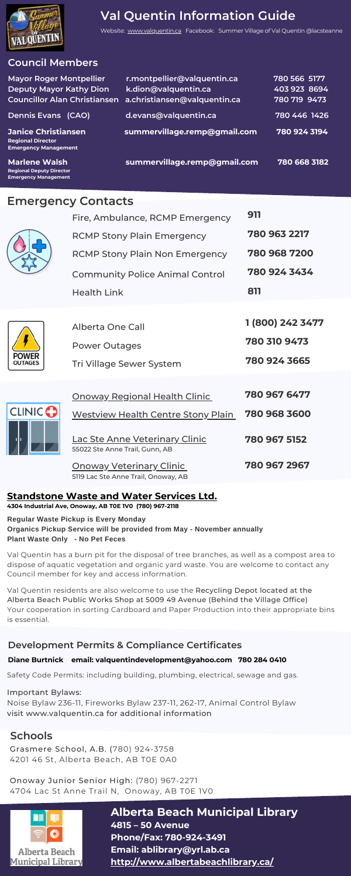## **Council Members**

| <b>Mayor Roger Montpellier</b>                                                        | r.montpellier@valquentin.ca  | 780 566 5177 |
|---------------------------------------------------------------------------------------|------------------------------|--------------|
| <b>Deputy Mayor Kathy Dion</b>                                                        | k.dion@valquentin.ca         | 403 923 8694 |
| <b>Councillor Alan Christiansen</b>                                                   | a.christiansen@valquentin.ca | 780 719 9473 |
| <b>Dennis Evans (CAO)</b>                                                             | d.evans@valquentin.ca        | 780 446 1426 |
| <b>Janice Christiansen</b><br><b>Regional Director</b><br><b>Emergency Management</b> | summervillage.remp@gmail.com | 780 924 3194 |
| <b>Marlene Walsh</b><br><b>Regional Deputy Director</b>                               | summervillage.remp@gmail.com | 780 668 3182 |

# Emergency Contacts



**Emergency Management** 

 $\overline{\text{Cl}}$ 

|              | Fire, Ambulance, RCMP Emergency                                         | 911              |
|--------------|-------------------------------------------------------------------------|------------------|
|              | <b>RCMP Stony Plain Emergency</b>                                       | 780 963 2217     |
|              | <b>RCMP Stony Plain Non Emergency</b>                                   | 780 968 7200     |
|              | <b>Community Police Animal Control</b>                                  | 780 924 3434     |
|              | <b>Health Link</b>                                                      | 811              |
|              |                                                                         |                  |
|              | <b>Alberta One Call</b>                                                 | 1 (800) 242 3477 |
|              | <b>Power Outages</b>                                                    | 780 310 9473     |
|              | Tri Village Sewer System                                                | 780 924 3665     |
|              |                                                                         |                  |
|              | <b>Onoway Regional Health Clinic</b>                                    | 780 967 6477     |
| <b>INICO</b> | <b>Westview Health Centre Stony Plain</b>                               | 780 968 3600     |
|              | <b>Lac Ste Anne Veterinary Clinic</b><br>55022 Ste Anne Trail, Gunn, AB | 780 967 5152     |
|              | <u> Onoway Veterinary Clinic</u>                                        | 780 967 2967     |
|              | 5119 Lac Ste Anne Trail, Onoway, AB                                     |                  |

# **[Standstone Waste and Water Services Ltd.](https://standstonevac.ca/)**

**4304 Industrial Ave, Onoway, AB T0E 1V0 [\(780\) 967-2118](https://www.google.com/search?q=standstone&oq=standstone&aqs=chrome.0.69i59j0i10i433l2j46i10i175i199l3j46i10j69i60.2027j0j7&sourceid=chrome&ie=UTF-8#)**

**Regular Waste Pickup is Every Monday** 

#### **Organics Pickup Service will be provided from May - November annually Plant Waste Only - No Pet Feces**

Val Quentin has a burn pit for the disposal of tree branches, as well as a compost area to dispose of aquatic vegetation and organic yard waste. You are welcome to contact any Council member for key and access information.

Val Quentin residents are also welcome to use the Recycling Depot located at the Alberta Beach Public Works Shop at 5009 49 Avenue (Behind the Village Office) Your cooperation in sorting Cardboard and Paper Production into their appropriate bins is essential.

## **Development Permits & Compliance Certificates**

Safety Code Permits: including building, plumbing, electrical, sewage and gas.

Important Bylaws: Noise Bylaw 236-11, Fireworks Bylaw 237-11, 262-17, Animal Control Bylaw visit www.valquentin.ca for additional information

# **Schools**

Grasmere School, A.B. (780) 924-3758 4201 46 St, Alberta Beach, AB T0E 0A0

Onoway Junior Senior High: (780) 967-2271 4704 Lac St Anne Trail N, Onoway, AB T0E 1V0



**Alberta Beach Municipal Library 4815 – 50 Avenue Phone/Fax: 780-924-3491 Email: ablibrary@yrl.ab.ca <http://www.albertabeachlibrary.ca/>**

# **Val Quentin Information Guide**

Website: [www.valquentin.ca](https://valquentin.ca/) Facebook: Summer Village of Val Quentin @lacsteanne

#### **Diane Burtnick email: valquentindevelopment@yahoo.com 780 284 0410**